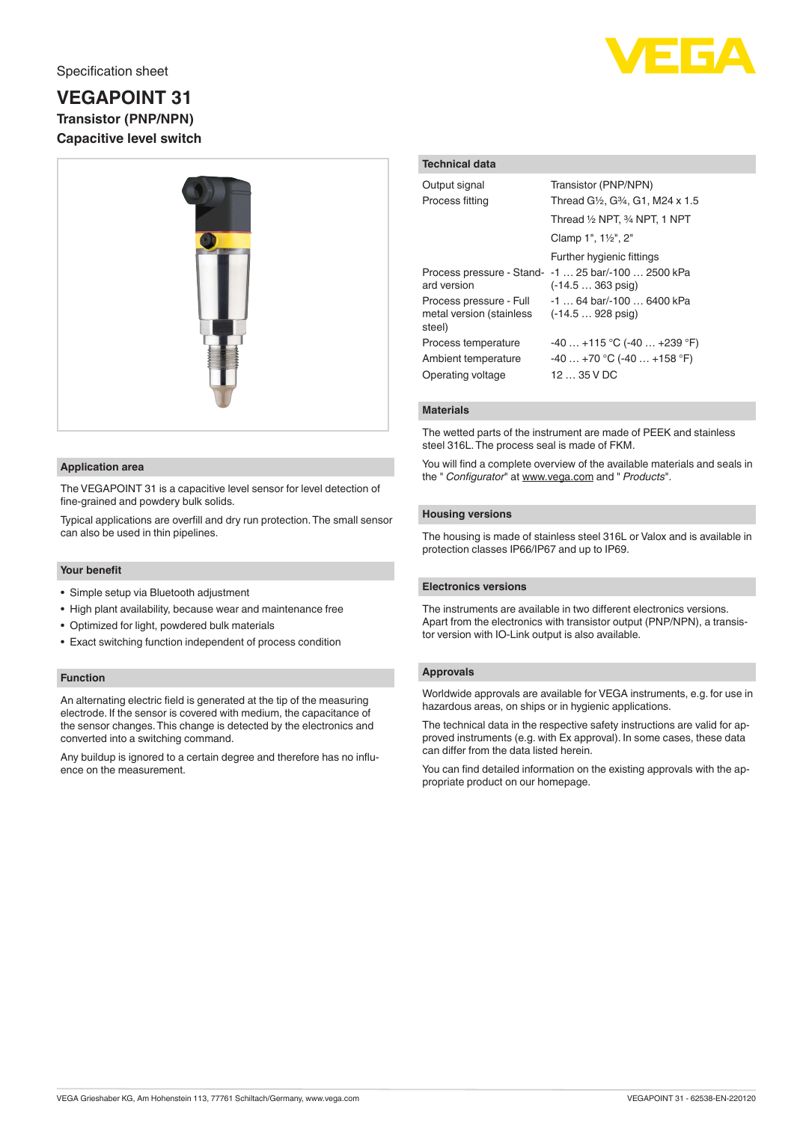

# **VEGAPOINT 31 Transistor (PNP/NPN) Capacitive level switch**



## **Application area**

The VEGAPOINT 31 is a capacitive level sensor for level detection of fine-grained and powdery bulk solids.

Typical applications are overfill and dry run protection. The small sensor can also be used in thin pipelines.

#### **Your benefit**

- Simple setup via Bluetooth adjustment
- High plant availability, because wear and maintenance free
- Optimized for light, powdered bulk materials
- Exact switching function independent of process condition

#### **Function**

An alternating electric field is generated at the tip of the measuring electrode. If the sensor is covered with medium, the capacitance of the sensor changes. This change is detected by the electronics and converted into a switching command.

Any buildup is ignored to a certain degree and therefore has no influence on the measurement.

# **Technical data**

| Output signal<br>Process fitting                                | Transistor (PNP/NPN)<br>Thread G1/ <sub>2</sub> , G3/ <sub>4</sub> , G1, M24 x 1.5 |
|-----------------------------------------------------------------|------------------------------------------------------------------------------------|
|                                                                 | Thread 1/2 NPT, 3/4 NPT, 1 NPT                                                     |
|                                                                 | Clamp 1", 11/2", 2"                                                                |
|                                                                 | Further hygienic fittings                                                          |
| ard version                                                     | Process pressure - Stand- -1  25 bar/-100  2500 kPa<br>$(-14.5363 \text{ psiq})$   |
| Process pressure - Full<br>metal version (stainless<br>steel)   | $-1$ 64 bar/ $-100$ 6400 kPa<br>$(-14.5928 \text{ psiq})$                          |
| Process temperature<br>Ambient temperature<br>Operating voltage | $-40+115$ °C ( $-40+239$ °F)<br>$-40+70$ °C (-40  +158 °F)<br>1235VDC              |

## **Materials**

The wetted parts of the instrument are made of PEEK and stainless steel 316L. The process seal is made of FKM.

You will find a complete overview of the available materials and seals in the " *Configurator*" at [www.vega.com](http://www.vega.com) and " *Products*".

# **Housing versions**

The housing is made of stainless steel 316L or Valox and is available in protection classes IP66/IP67 and up to IP69.

#### **Electronics versions**

The instruments are available in two different electronics versions. Apart from the electronics with transistor output (PNP/NPN), a transistor version with IO-Link output is also available.

## **Approvals**

Worldwide approvals are available for VEGA instruments, e.g. for use in hazardous areas, on ships or in hygienic applications.

The technical data in the respective safety instructions are valid for approved instruments (e.g. with Ex approval). In some cases, these data can differ from the data listed herein.

You can find detailed information on the existing approvals with the appropriate product on our homepage.